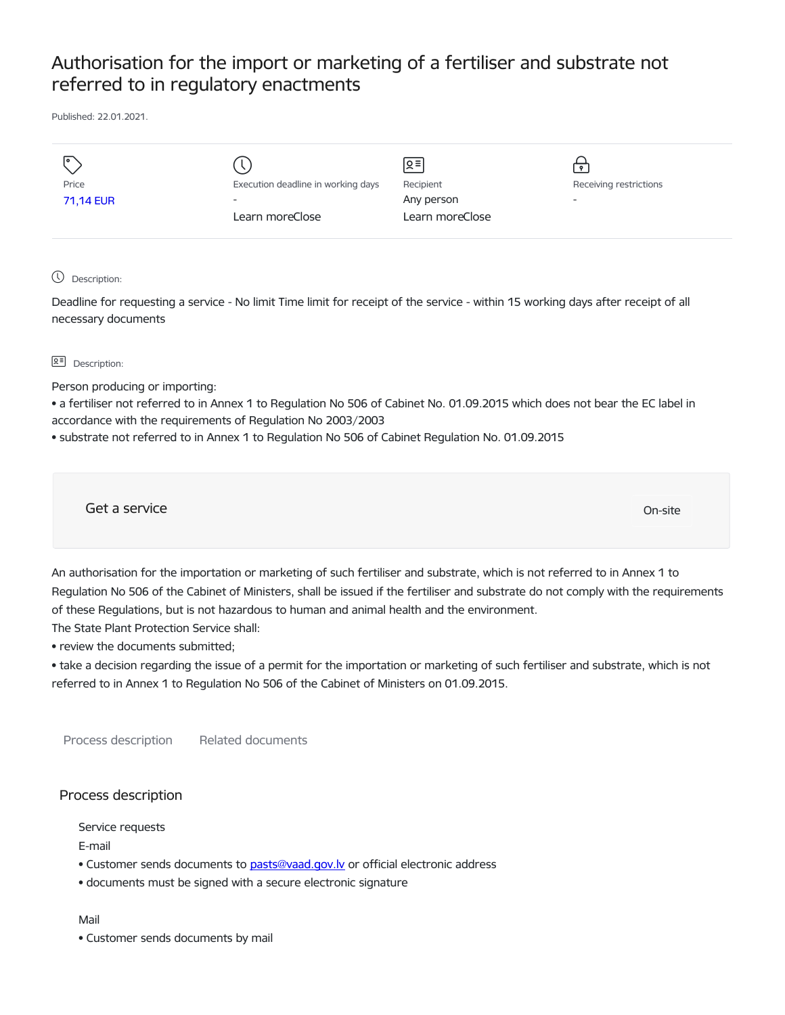## Authorisation for the import or marketing of a fertiliser and substrate not referred to in regulatory enactments

Published: 22.01.2021.

|           |                                    | ∣হ≡∣            |                          |
|-----------|------------------------------------|-----------------|--------------------------|
| Price     | Execution deadline in working days | Recipient       | Receiving restrictions   |
| 71,14 EUR | $\overline{\phantom{0}}$           | Any person      | $\overline{\phantom{a}}$ |
|           | Learn moreClose                    | Learn moreClose |                          |
|           |                                    |                 |                          |

Description:

Deadline for requesting a service - No limit Time limit for receipt of the service - within 15 working days after receipt of all necessary documents

## **B<sup>=</sup>** Description:

Person producing or importing:

• a fertiliser not referred to in Annex 1 to Regulation No 506 of Cabinet No. 01.09.2015 which does not bear the EC label in accordance with the requirements of Regulation No 2003/2003

• substrate not referred to in Annex 1 to Regulation No 506 of Cabinet Regulation No. 01.09.2015

Get a service On-site

An authorisation for the importation or marketing of such fertiliser and substrate, which is not referred to in Annex 1 to Regulation No 506 of the Cabinet of Ministers, shall be issued if the fertiliser and substrate do not comply with the requirements of these Regulations, but is not hazardous to human and animal health and the environment.

The State Plant Protection Service shall:

• review the documents submitted;

• take a decision regarding the issue of a permit for the importation or marketing of such fertiliser and substrate, which is not referred to in Annex 1 to Regulation No 506 of the Cabinet of Ministers on 01.09.2015.

Process description Related documents

## Process description

Service requests

E-mail

- Customer sends documents to pasts@vaad.gov.ly or official electronic address
- documents must be signed with a secure electronic signature

Mail

• Customer sends documents by mail